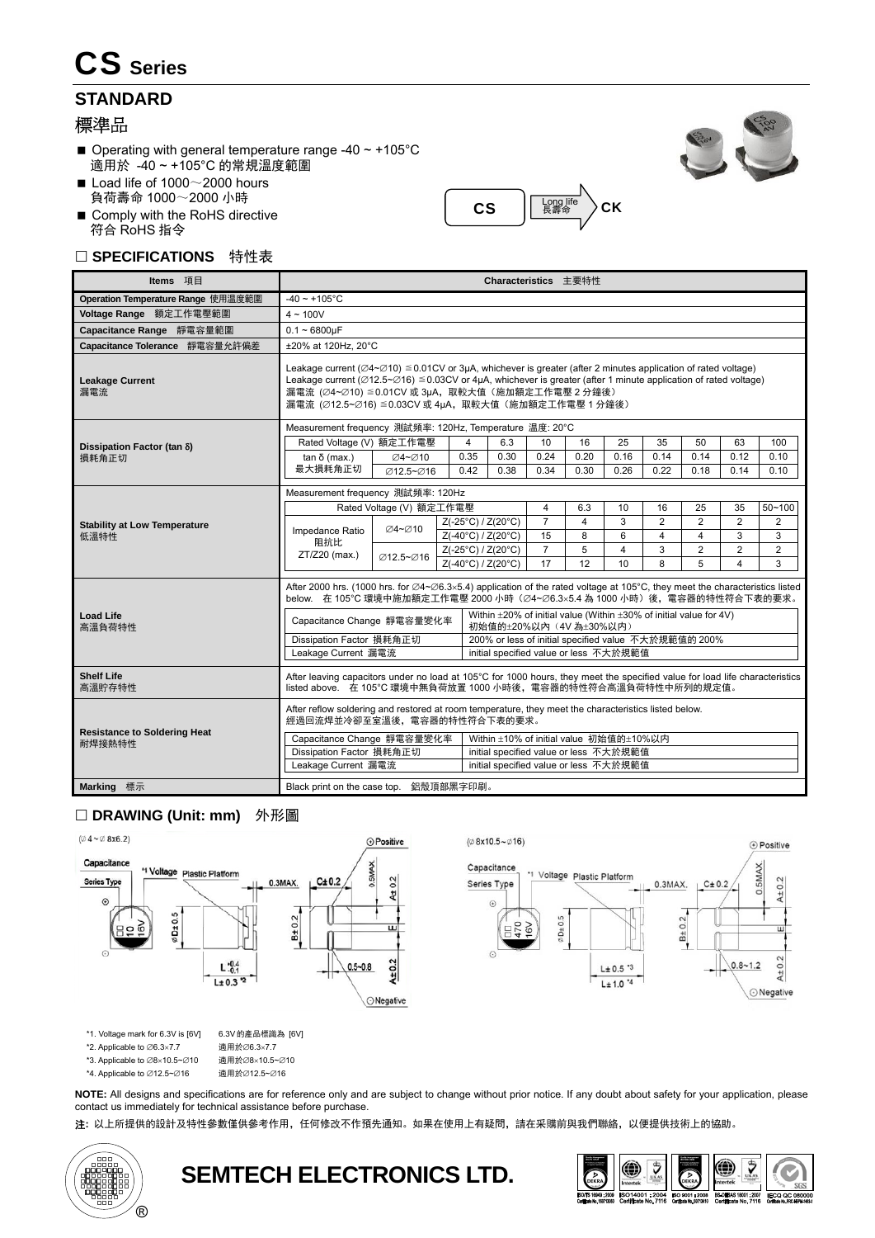# CS **Series**

### **STANDARD**

### 標準品

- $\blacksquare$  Operating with general temperature range -40 ~ +105°C 適用於 -40 ~ +105°C 的常規溫度範圍
- Load life of  $1000~\sim$  2000 hours 負荷壽命 1000~2000 小時
- Comply with the RoHS directive 符合 RoHS 指令

#### □ SPECIFICATIONS 特性表





### □ DRAWING (Unit: mm) 外形圖



\*1. Voltage mark for 6.3V is [6V] \*2. Applicable to  $\varnothing$ 6.3×7.7

\*3. Applicable to  $\varnothing$ 8×10.5~ $\varnothing$ 10

\*4. Applicable to  $\varnothing$ 12.5~ $\varnothing$ 16

適用於の12.5~の16

適用於Ø6.3×7.7 適用於Ø8×10.5~Ø10

**NOTE:** All designs and specifications are for reference only and are subject to change without prior notice. If any doubt about safety for your application, please contact us immediately for technical assistance before purchase.

注**:** 以上所提供的設計及特性參數僅供參考作用,任何修改不作預先通知。如果在使用上有疑問,請在采購前與我們聯絡,以便提供技術上的協助。



**SEMTECH ELECTRONICS LTD.** 



**O** Positive

 $A \pm 0.2$ 

⊙Negative

 $0.5$ MA<sub>2</sub>

 $0.8 - 1.2$ 

 $C\pm 0.2$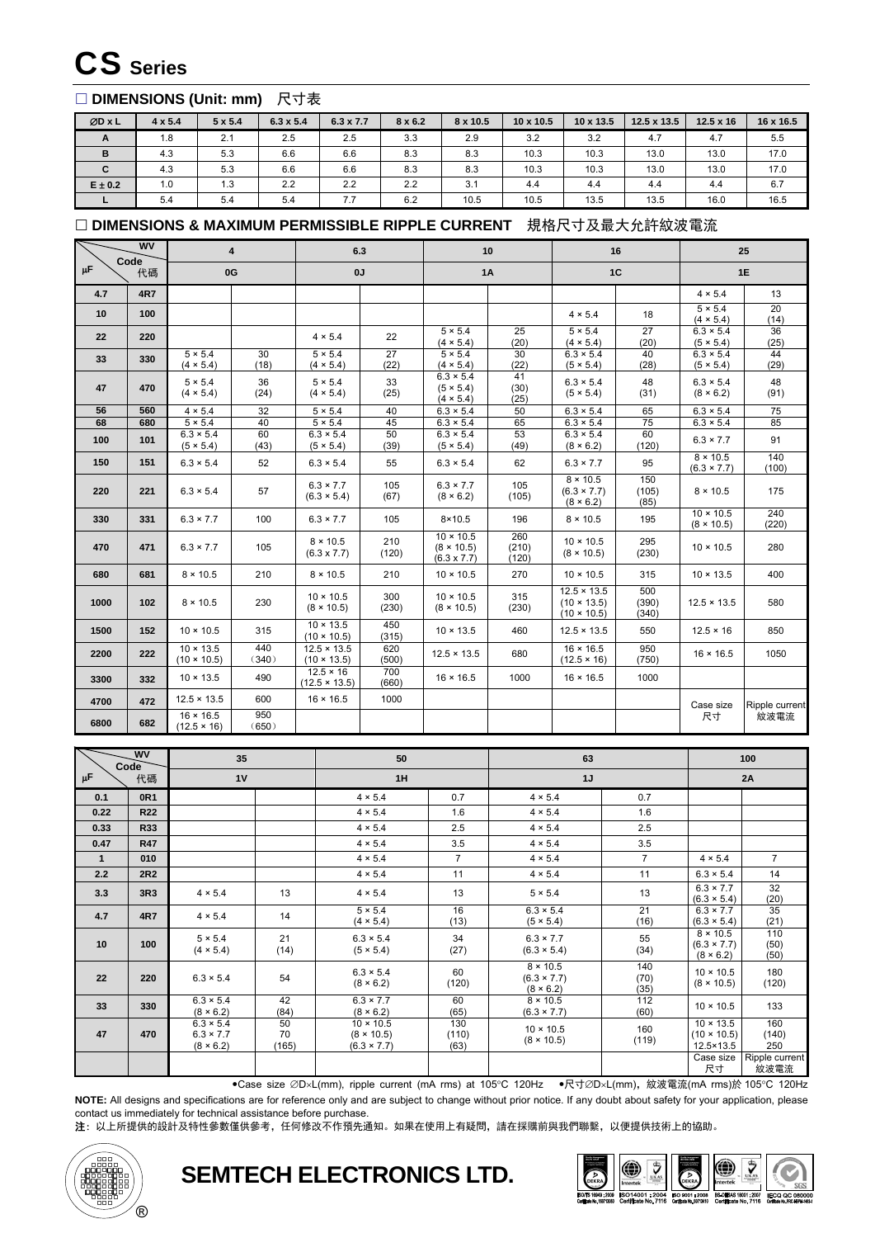## CS **Series**

#### □ DIMENSIONS (Unit: mm) 尺寸表

| ØD X L      | $4 \times 5.4$ | $5 \times 5.4$ | $6.3 \times 5.4$ | $6.3 \times 7.7$ | $8 \times 6.2$ | 8 x 10.5 | $10 \times 10.5$ | $10 \times 13.5$ | $12.5 \times 13.5$ | $12.5 \times 16$ | 16 x 16.5 |
|-------------|----------------|----------------|------------------|------------------|----------------|----------|------------------|------------------|--------------------|------------------|-----------|
| A           | 1.8            | 2.1            | 2.5              | 2.5              | 3.3            | 2.9      | 3.2              | 3.2              | 4.7                | 4.7              | 5.5       |
| B           | 4.3            | 5.3            | 6.6              | 6.6              | 8.3            | 8.3      | 10.3             | 10.3             | 13.0               | 13.0             | 17.0      |
| C           | 4.3            | 5.3            | 6.6              | 6.6              | 8.3            | 8.3      | 10.3             | 10.3             | 13.0               | 13.0             | 17.0      |
| $E \pm 0.2$ | 1.0            | 1.3            | 2.2              | 2.2              | 2.2            | 3.1      | 4.4              | 4.4              | 4.4                | 4.4              | 6.7       |
|             | 5.4            | 5.4            | 5.4              | 7.7              | 6.2            | 10.5     | 10.5             | 13.5             | 13.5               | 16.0             | 16.5      |

#### □ DIMENSIONS & MAXIMUM PERMISSIBLE RIPPLE CURRENT 規格尺寸及最大允許紋波電流

| <b>WV</b><br>Code<br>μF<br>代碼 |            |                                        | 4            | 6.3                                      |              | 10                                                          |                       | 16                                                             |                       |                                       | 25             |  |
|-------------------------------|------------|----------------------------------------|--------------|------------------------------------------|--------------|-------------------------------------------------------------|-----------------------|----------------------------------------------------------------|-----------------------|---------------------------------------|----------------|--|
|                               |            | 0G                                     |              | 0J                                       |              |                                                             | 1A                    |                                                                | 1C                    |                                       | 1E             |  |
| 4.7                           | <b>4R7</b> |                                        |              |                                          |              |                                                             |                       |                                                                |                       | $4 \times 5.4$                        | 13             |  |
| 10                            | 100        |                                        |              |                                          |              |                                                             |                       | $4 \times 5.4$                                                 | 18                    | $5 \times 5.4$<br>(4 × 5.4)           | 20<br>(14)     |  |
| 22                            | 220        |                                        |              | $4 \times 5.4$                           | 22           | $5 \times 5.4$<br>$(4 \times 5.4)$                          | 25<br>(20)            | $5 \times 5.4$<br>$(4 \times 5.4)$                             | 27<br>(20)            | $6.3 \times 5.4$<br>(5 × 5.4)         | 36<br>(25)     |  |
| 33                            | 330        | $5 \times 5.4$<br>(4 × 5.4)            | 30<br>(18)   | $5 \times 5.4$<br>(4 × 5.4)              | 27<br>(22)   | $5 \times 5.4$<br>(4 × 5.4)                                 | 30<br>(22)            | $6.3 \times 5.4$<br>(5 × 5.4)                                  | 40<br>(28)            | $6.3 \times 5.4$<br>(5 × 5.4)         | 44<br>(29)     |  |
| 47                            | 470        | $5 \times 5.4$<br>$(4 \times 5.4)$     | 36<br>(24)   | $5 \times 5.4$<br>$(4 \times 5.4)$       | 33<br>(25)   | $6.3 \times 5.4$<br>(5 × 5.4)<br>(4 × 5.4)                  | 41<br>(30)<br>(25)    | $6.3 \times 5.4$<br>(5 × 5.4)                                  | 48<br>(31)            | $6.3 \times 5.4$<br>(8 × 6.2)         | 48<br>(91)     |  |
| 56                            | 560        | $4 \times 5.4$                         | 32           | $5 \times 5.4$                           | 40           | $6.3 \times 5.4$                                            | 50                    | $6.3 \times 5.4$                                               | 65                    | $6.3 \times 5.4$                      | 75             |  |
| 68                            | 680        | $5 \times 5.4$                         | 40           | $5 \times 5.4$                           | 45           | $6.3 \times 5.4$                                            | 65                    | $6.3 \times 5.4$                                               | 75                    | $6.3 \times 5.4$                      | 85             |  |
| 100                           | 101        | $6.3 \times 5.4$<br>(5 × 5.4)          | 60<br>(43)   | $6.3 \times 5.4$<br>(5 × 5.4)            | 50<br>(39)   | $6.3 \times 5.4$<br>(5 × 5.4)                               | 53<br>(49)            | $6.3 \times 5.4$<br>(8 × 6.2)                                  | 60<br>(120)           | $6.3 \times 7.7$                      | 91             |  |
| 150                           | 151        | $6.3 \times 5.4$                       | 52           | $6.3 \times 5.4$                         | 55           | $6.3 \times 5.4$                                            | 62                    | $6.3 \times 7.7$                                               | 95                    | 8 × 10.5<br>$(6.3 \times 7.7)$        | 140<br>(100)   |  |
| 220                           | 221        | $6.3 \times 5.4$                       | 57           | $6.3 \times 7.7$<br>$(6.3 \times 5.4)$   | 105<br>(67)  | $6.3 \times 7.7$<br>(8 × 6.2)                               | 105<br>(105)          | $8 \times 10.5$<br>$(6.3 \times 7.7)$<br>(8 × 6.2)             | 150<br>(105)<br>(85)  | $8 \times 10.5$                       | 175            |  |
| 330                           | 331        | $6.3 \times 7.7$                       | 100          | $6.3 \times 7.7$                         | 105          | $8 \times 10.5$                                             | 196                   | $8 \times 10.5$                                                | 195                   | $10 \times 10.5$<br>$(8 \times 10.5)$ | 240<br>(220)   |  |
| 470                           | 471        | $6.3 \times 7.7$                       | 105          | $8 \times 10.5$<br>$(6.3 \times 7.7)$    | 210<br>(120) | $10 \times 10.5$<br>$(8 \times 10.5)$<br>$(6.3 \times 7.7)$ | 260<br>(210)<br>(120) | $10 \times 10.5$<br>$(8 \times 10.5)$                          | 295<br>(230)          | $10 \times 10.5$                      | 280            |  |
| 680                           | 681        | $8 \times 10.5$                        | 210          | $8 \times 10.5$                          | 210          | $10 \times 10.5$                                            | 270                   | $10 \times 10.5$                                               | 315                   | $10 \times 13.5$                      | 400            |  |
| 1000                          | 102        | 8 × 10.5                               | 230          | $10 \times 10.5$<br>$(8 \times 10.5)$    | 300<br>(230) | $10 \times 10.5$<br>$(8 \times 10.5)$                       | 315<br>(230)          | $12.5 \times 13.5$<br>$(10 \times 13.5)$<br>$(10 \times 10.5)$ | 500<br>(390)<br>(340) | $12.5 \times 13.5$                    | 580            |  |
| 1500                          | 152        | $10 \times 10.5$                       | 315          | $10 \times 13.5$<br>$(10 \times 10.5)$   | 450<br>(315) | $10 \times 13.5$                                            | 460                   | $12.5 \times 13.5$                                             | 550                   | $12.5 \times 16$                      | 850            |  |
| 2200                          | 222        | $10 \times 13.5$<br>$(10 \times 10.5)$ | 440<br>(340) | $12.5 \times 13.5$<br>$(10 \times 13.5)$ | 620<br>(500) | $12.5 \times 13.5$                                          | 680                   | $16 \times 16.5$<br>$(12.5 \times 16)$                         | 950<br>(750)          | $16 \times 16.5$                      | 1050           |  |
| 3300                          | 332        | $10 \times 13.5$                       | 490          | $12.5 \times 16$<br>$(12.5 \times 13.5)$ | 700<br>(660) | $16 \times 16.5$                                            | 1000                  | $16 \times 16.5$                                               | 1000                  |                                       |                |  |
| 4700                          | 472        | $12.5 \times 13.5$                     | 600          | $16 \times 16.5$                         | 1000         |                                                             |                       |                                                                |                       | Case size                             | Ripple current |  |
| 6800                          | 682        | $16 \times 16.5$<br>$(12.5 \times 16)$ | 950<br>(650) |                                          |              |                                                             |                       |                                                                |                       | 尺寸                                    | 紋波電流           |  |

| <b>WV</b><br>Code<br>μF<br>代碼 |            | 35                                                |                   | 50                                                          |                      | 63                                          | 100<br>2A               |                                                                  |                        |
|-------------------------------|------------|---------------------------------------------------|-------------------|-------------------------------------------------------------|----------------------|---------------------------------------------|-------------------------|------------------------------------------------------------------|------------------------|
|                               |            | 1V                                                |                   | 1H                                                          |                      | 1J                                          |                         |                                                                  |                        |
| 0.1                           | 0R1        |                                                   |                   | $4 \times 5.4$                                              | 0.7                  | $4 \times 5.4$                              | 0.7                     |                                                                  |                        |
| 0.22                          | <b>R22</b> |                                                   |                   | $4 \times 5.4$                                              | 1.6                  | $4 \times 5.4$                              | 1.6                     |                                                                  |                        |
| 0.33                          | R33        |                                                   |                   | $4 \times 5.4$                                              | 2.5                  | $4 \times 5.4$                              | 2.5                     |                                                                  |                        |
| 0.47                          | <b>R47</b> |                                                   |                   | $4 \times 5.4$                                              | 3.5                  | $4 \times 5.4$                              | 3.5                     |                                                                  |                        |
| $\mathbf{1}$                  | 010        |                                                   |                   | $4 \times 5.4$                                              | $\overline{7}$       | $4 \times 5.4$                              | $\overline{7}$          | $4 \times 5.4$                                                   | $\overline{7}$         |
| 2.2                           | 2R2        |                                                   |                   | $4 \times 5.4$                                              | 11                   | $4 \times 5.4$                              | 11                      | $6.3 \times 5.4$                                                 | 14                     |
| 3.3                           | 3R3        | $4 \times 5.4$                                    | 13                | $4 \times 5.4$                                              | 13                   | $5 \times 5.4$                              | 13                      | $6.3 \times 7.7$<br>$(6.3 \times 5.4)$                           | 32<br>(20)             |
| 4.7                           | 4R7        | $4 \times 5.4$                                    | 14                | $5 \times 5.4$<br>$(4 \times 5.4)$                          | 16<br>(13)           | $6.3 \times 5.4$<br>(5 × 5.4)               | $\overline{21}$<br>(16) | $6.3 \times 7.7$<br>$(6.3 \times 5.4)$                           | 35<br>(21)             |
| 10                            | 100        | $5 \times 5.4$<br>(4 × 5.4)                       | 21<br>(14)        | $6.3 \times 5.4$<br>(5 × 5.4)                               | 34<br>(27)           | $6.3 \times 7.7$<br>$(6.3 \times 5.4)$      | 55<br>(34)              | $8 \times 10.5$<br>$(6.3 \times 7.7)$<br>(8 × 6.2)               | 110<br>(50)<br>(50)    |
| 22                            | 220        | $6.3 \times 5.4$                                  | 54                | $6.3 \times 5.4$<br>(8 × 6.2)                               | 60<br>(120)          | 8 × 10.5<br>$(6.3 \times 7.7)$<br>(8 × 6.2) | 140<br>(70)<br>(35)     | $10 \times 10.5$<br>$(8 \times 10.5)$                            | 180<br>(120)           |
| 33                            | 330        | $6.3 \times 5.4$<br>(8 × 6.2)                     | 42<br>(84)        | $6.3 \times 7.7$<br>(8 × 6.2)                               | 60<br>(65)           | $8 \times 10.5$<br>$(6.3 \times 7.7)$       | 112<br>(60)             | $10 \times 10.5$                                                 | 133                    |
| 47                            | 470        | $6.3 \times 5.4$<br>$6.3 \times 7.7$<br>(8 × 6.2) | 50<br>70<br>(165) | $10 \times 10.5$<br>$(8 \times 10.5)$<br>$(6.3 \times 7.7)$ | 130<br>(110)<br>(63) | $10 \times 10.5$<br>$(8 \times 10.5)$       | 160<br>(119)            | $10 \times 13.5$<br>$(10 \times 10.5)$<br>12.5×13.5<br>Case size | 160<br>(140)<br>250    |
|                               |            |                                                   |                   |                                                             |                      |                                             |                         | 尺寸                                                               | Ripple current<br>紋波電流 |

• Case size ØDxL(mm), ripple current (mA rms) at 105°C 120Hz • 尺寸ØDxL(mm), 紋波電流(mA rms)於 105°C 120Hz

**NOTE:** All designs and specifications are for reference only and are subject to change without prior notice. If any doubt about safety for your application, please contact us immediately for technical assistance before purchase.

注: 以上所提供的設計及特性參數僅供參考,任何修改不作預先通知。如果在使用上有疑問,請在採購前與我們聯繫,以便提供技術上的協助。



**SEMTECH ELECTRONICS LTD.**